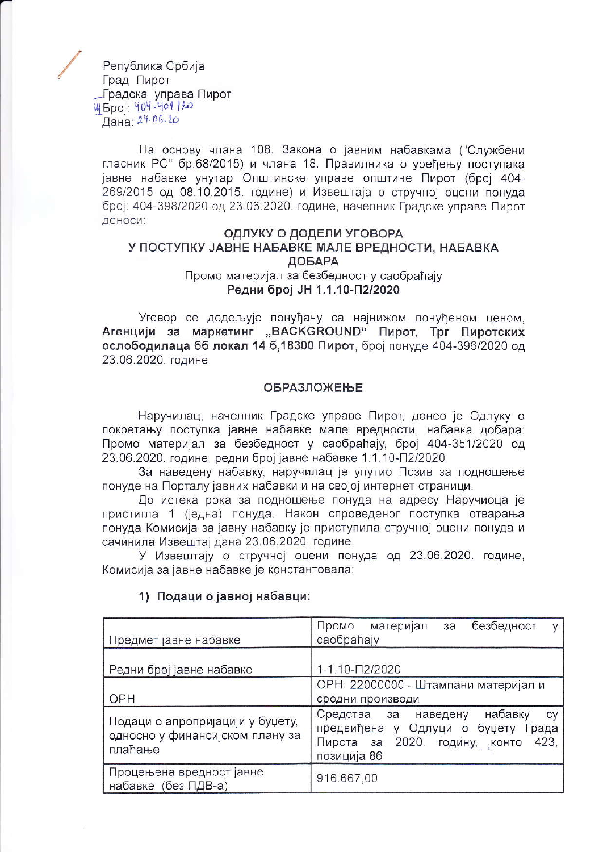Република Србија Град Пирот Градска управа Пирот 14 5poi: 404-401/20 Дана: 24.06.20

На основу члана 108. Закона о јавним набавкама ("Службени гласник РС" бр.68/2015) и члана 18. Правилника о уређењу поступака јавне набавке унутар Општинске управе општине Пирот (број 404-269/2015 од 08.10.2015. године) и Извештаја о стручној оцени понуда број: 404-398/2020 од 23.06.2020. године, начелник Градске управе Пирот доноси:

# ОДЛУКУ О ДОДЕЛИ УГОВОРА У ПОСТУПКУ ЈАВНЕ НАБАВКЕ МАЛЕ ВРЕДНОСТИ, НАБАВКА ДОБАРА Промо материјал за безбедност у саобраћају

Редни број ЈН 1.1.10-П2/2020

Уговор се додељује понуђачу са најнижом понуђеном ценом. Агенцији за маркетинг "BACKGROUND" Пирот, Трг Пиротских ослободилаца бб локал 14 б, 18300 Пирот, број понуде 404-396/2020 од 23.06.2020. године.

#### **ОБРАЗЛОЖЕЊЕ**

Наручилац, начелник Градске управе Пирот, донео је Одлуку о покретању поступка јавне набавке мале вредности, набавка добара: Промо материјал за безбедност у саобраћају, број 404-351/2020 од 23.06.2020. године, редни број јавне набавке 1.1.10-П2/2020.

За наведену набавку, наручилац је упутио Позив за подношење понуде на Порталу јавних набавки и на својој интернет страници.

До истека рока за подношење понуда на адресу Наручиоца је пристигла 1 (једна) понуда. Након спроведеног поступка отварања понуда Комисија за јавну набавку је приступила стручној оцени понуда и сачинила Извештај дана 23.06.2020. године.

У Извештају о стручној оцени понуда од 23.06.2020. године, Комисија за јавне набавке је константовала:

| Предмет јавне набавке                                                          | безбедност<br>Промо<br>материјал<br>за<br>V<br>саобраћају                                                                                    |  |  |
|--------------------------------------------------------------------------------|----------------------------------------------------------------------------------------------------------------------------------------------|--|--|
| Редни број јавне набавке                                                       | 1.1.10-12/2020                                                                                                                               |  |  |
| OPH                                                                            | ОРН: 22000000 - Штампани материјал и<br>сродни производи                                                                                     |  |  |
| Подаци о апропријацији у буџету,<br>односно у финансијском плану за<br>плаћање | набавку<br>Средства за<br>наведену<br>cy<br>предвиђена у Одлуци<br>о буџету<br>Града<br>423,<br>Пирота за 2020. годину, конто<br>позиција 86 |  |  |
| Процењена вредност јавне<br>набавке (без ПДВ-а)                                | 916.667,00                                                                                                                                   |  |  |

#### 1) Подаци о јавној набавци: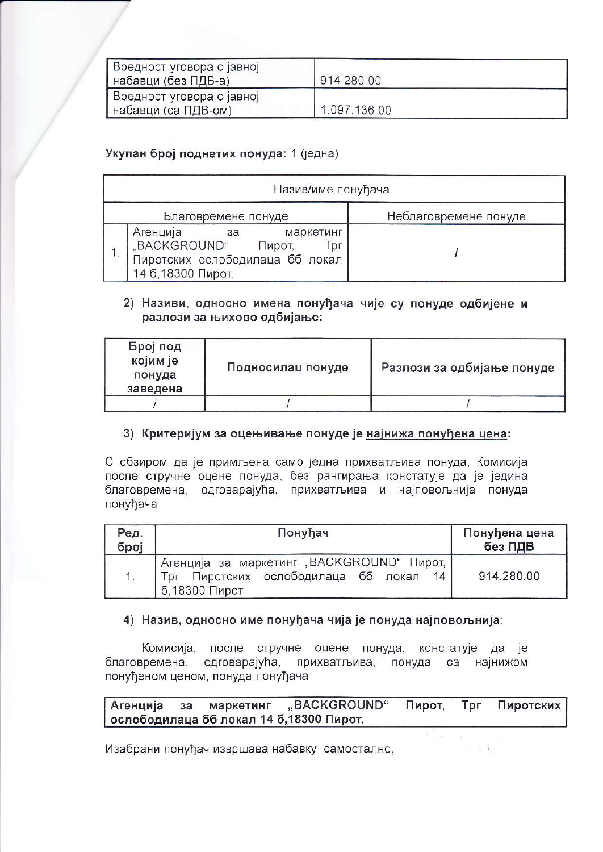| Вредност уговора о јавној<br>набавци (без ПДВ-а)   | 914.280,00   |  |
|----------------------------------------------------|--------------|--|
| Вредност уговора о јавној<br>  набавци (са ПДВ-ом) | 1.097.136,00 |  |

# Укупан број поднетих понуда: 1 (једна)

| Назив/име понуђача                                                                                                    |                       |  |  |  |  |
|-----------------------------------------------------------------------------------------------------------------------|-----------------------|--|--|--|--|
| Благовремене понуде                                                                                                   | Неблаговремене понуде |  |  |  |  |
| Агенција<br>маркетинг<br>за<br>"BACKGROUND"<br>Пирот,<br>l pr<br>Пиротских ослободилаца бб локал<br>14 б.18300 Пирот. |                       |  |  |  |  |

#### 2) Називи, односно имена понуђача чије су понуде одбијене и разлози за њихово одбијање:

| Број под<br>којим је<br>понуда<br>заведена | Подносилац понуде | Разлози за одбијање понуде |
|--------------------------------------------|-------------------|----------------------------|
|                                            |                   |                            |

# 3) Критеријум за оцењивање понуде је најнижа понуђена цена:

С обзиром да је примљена само једна прихватљива понуда, Комисија после стручне оцене понуда, без рангирања констатује да је једина благовремена, одговарајућа, прихватљива и најповољнија понуда понуђача

| Ред.<br>број | Понуђач                                                                                                     | Понуђена цена<br>без ПДВ |
|--------------|-------------------------------------------------------------------------------------------------------------|--------------------------|
| 1.           | Агенција за маркетинг "BACKGROUND" Пирот.<br>Пиротских ослободилаца бб локал<br>14<br>Tor<br>б.18300 Пирот. | 914.280,00               |

# 4) Назив, односно име понуђача чија је понуда најповољнија:

Комисија, после стручне оцене понуда, констатује да је благовремена, одговарајућа, прихватљива, понуда са најнижом понуђеном ценом, понуда понуђача

#### Агенција маркетинг "BACKGROUND" Пирот, Tpr Пиротских  $3a$ ослободилаца бб локал 14 б, 18300 Пирот.

Изабрани понуђач извршава набавку самостално,